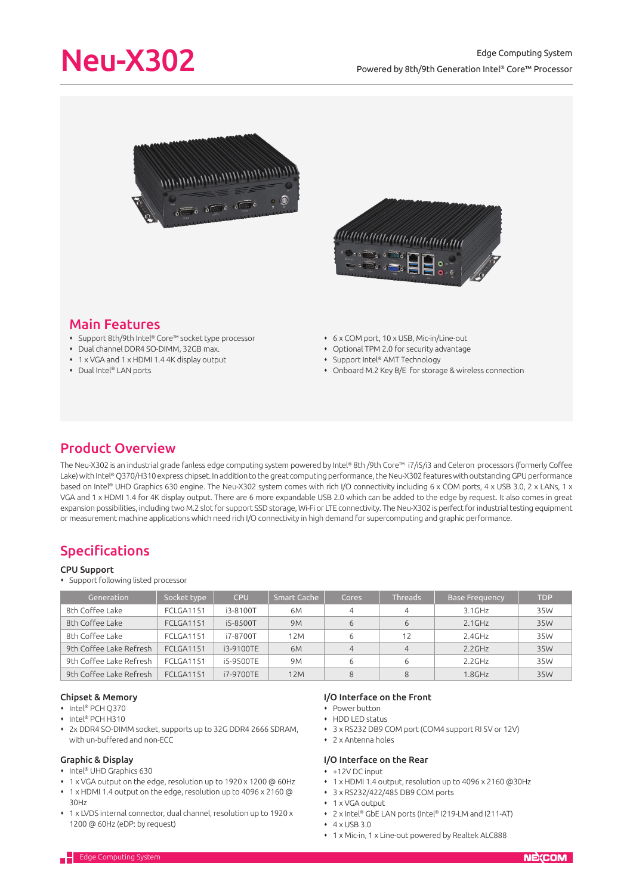



# Main Features

- Support 8th/9th Intel® Core™ socket type processor
- Dual channel DDR4 SO-DIMM, 32GB max.
- 1 x VGA and 1 x HDMI 1.4 4K display output
- ◆ Dual Intel® LAN ports
- 6 x COM port, 10 x USB, Mic-in/Line-out
- Optional TPM 2.0 for security advantage
- Support Intel® AMT Technology
- Onboard M.2 Key B/E for storage & wireless connection

# Product Overview

The Neu-X302 is an industrial grade fanless edge computing system powered by Intel® 8th /9th Core™ i7/i5/i3 and Celeron processors (formerly Coffee Lake) with Intel® Q370/H310 express chipset. In addition to the great computing performance, the Neu-X302 features with outstanding GPU performance based on Intel® UHD Graphics 630 engine. The Neu-X302 system comes with rich I/O connectivity including 6 x COM ports, 4 x USB 3.0, 2 x LANs, 1 x VGA and 1 x HDMI 1.4 for 4K display output. There are 6 more expandable USB 2.0 which can be added to the edge by request. It also comes in great expansion possibilities, including two M.2 slot for support SSD storage, Wi-Fi or LTE connectivity. The Neu-X302 is perfect for industrial testing equipment or measurement machine applications which need rich I/O connectivity in high demand for supercomputing and graphic performance.

# Specifications

### CPU Support

Support following listed processor

| Generation              | Socket type      | <b>CPU</b> | <b>Smart Cache</b> | Cores          | <b>Threads</b> | <b>Base Frequency</b> | <b>TDP</b> |
|-------------------------|------------------|------------|--------------------|----------------|----------------|-----------------------|------------|
| 8th Coffee Lake         | FCLGA1151        | i3-8100T   | 6M                 | 4              | 4              | $3.1$ GHz             | 35W        |
| 8th Coffee Lake         | FCLGA1151        | i5-8500T   | <b>9M</b>          | 6              | 6              | $2.1$ GHz             | 35W        |
| 8th Coffee Lake         | <b>FCLGA1151</b> | i7-8700T   | 12M                | 6              | 12             | $2.4$ GHz             | 35W        |
| 9th Coffee Lake Refresh | <b>FCLGA1151</b> | i3-9100TE  | 6 <sub>M</sub>     | $\overline{4}$ | $\overline{4}$ | 2.2GHz                | 35W        |
| 9th Coffee Lake Refresh | <b>FCLGA1151</b> | i5-9500TE  | 9M                 | 6              |                | $2.2$ GHz             | 35W        |
| 9th Coffee Lake Refresh | <b>FCLGA1151</b> | i7-9700TE  | 12M                | 8              | 8              | $1.8$ GHz             | 35W        |

# Chipset & Memory

- ◆ Intel® PCH Q370
- ◆ Intel® PCH H310
- 2x DDR4 SO-DIMM socket, supports up to 32G DDR4 2666 SDRAM, with un-buffered and non-ECC

## Graphic & Display

- Intel® UHD Graphics 630
- 1 x VGA output on the edge, resolution up to 1920 x 1200 @ 60Hz
- 1 x HDMI 1.4 output on the edge, resolution up to 4096 x 2160 @ 30Hz
- 1 x LVDS internal connector, dual channel, resolution up to 1920 x 1200 @ 60Hz (eDP: by request)

# I/O Interface on the Front

- Power button
	- HDD LED status
	- 3 x RS232 DB9 COM port (COM4 support RI 5V or 12V)
	- 2 x Antenna holes

## I/O Interface on the Rear

- +12V DC input
- 1 x HDMI 1.4 output, resolution up to 4096 x 2160 @30Hz
- 3 x RS232/422/485 DB9 COM ports
- 1 x VGA output
- 2 x Intel® GbE LAN ports (Intel® I219-LM and I211-AT)
- $\cdot$  4 x USB 3.0
- 1 x Mic-in, 1 x Line-out powered by Realtek ALC888